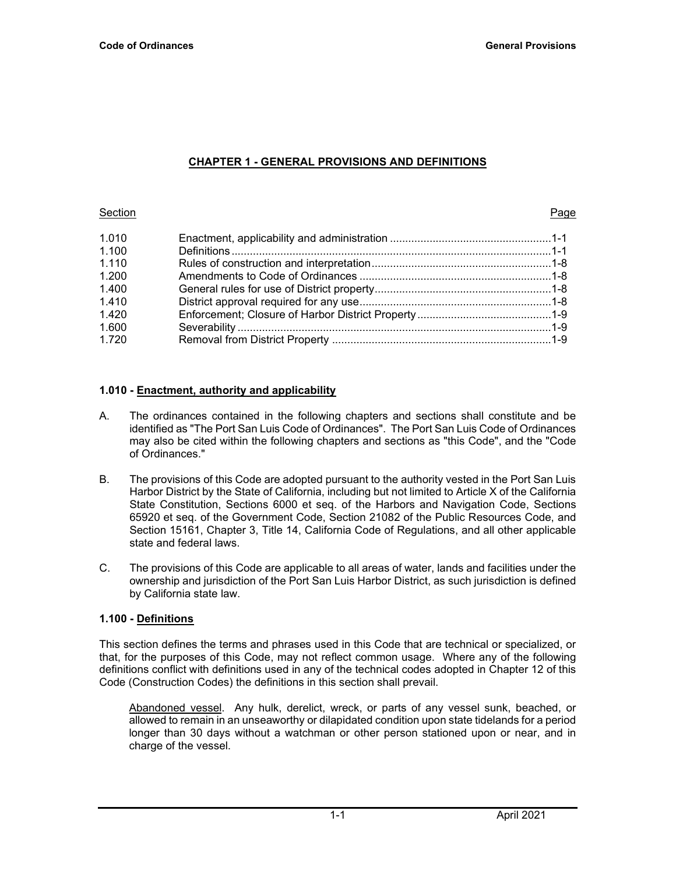# **CHAPTER 1 - GENERAL PROVISIONS AND DEFINITIONS**

#### Section Page

| 1.010 |  |
|-------|--|
| 1.100 |  |
| 1.110 |  |
| 1.200 |  |
| 1.400 |  |
| 1.410 |  |
| 1.420 |  |
| 1.600 |  |
| 1.720 |  |

# **1.010 - Enactment, authority and applicability**

- A. The ordinances contained in the following chapters and sections shall constitute and be identified as "The Port San Luis Code of Ordinances". The Port San Luis Code of Ordinances may also be cited within the following chapters and sections as "this Code", and the "Code of Ordinances."
- B. The provisions of this Code are adopted pursuant to the authority vested in the Port San Luis Harbor District by the State of California, including but not limited to Article X of the California State Constitution, Sections 6000 et seq. of the Harbors and Navigation Code, Sections 65920 et seq. of the Government Code, Section 21082 of the Public Resources Code, and Section 15161, Chapter 3, Title 14, California Code of Regulations, and all other applicable state and federal laws.
- C. The provisions of this Code are applicable to all areas of water, lands and facilities under the ownership and jurisdiction of the Port San Luis Harbor District, as such jurisdiction is defined by California state law.

# **1.100 - Definitions**

This section defines the terms and phrases used in this Code that are technical or specialized, or that, for the purposes of this Code, may not reflect common usage. Where any of the following definitions conflict with definitions used in any of the technical codes adopted in Chapter 12 of this Code (Construction Codes) the definitions in this section shall prevail.

Abandoned vessel. Any hulk, derelict, wreck, or parts of any vessel sunk, beached, or allowed to remain in an unseaworthy or dilapidated condition upon state tidelands for a period longer than 30 days without a watchman or other person stationed upon or near, and in charge of the vessel.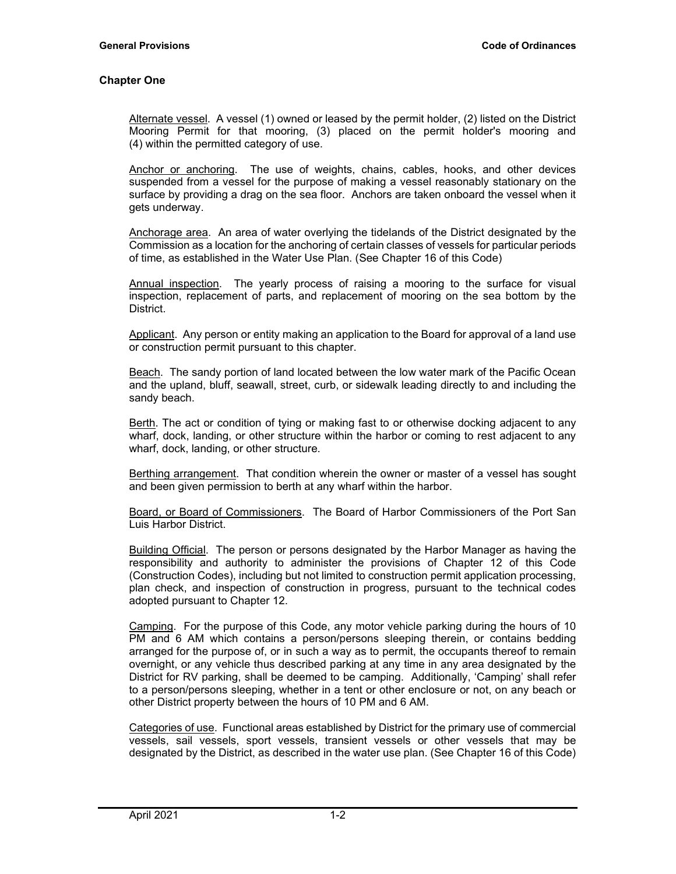Alternate vessel. A vessel (1) owned or leased by the permit holder, (2) listed on the District Mooring Permit for that mooring, (3) placed on the permit holder's mooring and (4) within the permitted category of use.

Anchor or anchoring. The use of weights, chains, cables, hooks, and other devices suspended from a vessel for the purpose of making a vessel reasonably stationary on the surface by providing a drag on the sea floor. Anchors are taken onboard the vessel when it gets underway.

Anchorage area. An area of water overlying the tidelands of the District designated by the Commission as a location for the anchoring of certain classes of vessels for particular periods of time, as established in the Water Use Plan. (See Chapter 16 of this Code)

Annual inspection. The yearly process of raising a mooring to the surface for visual inspection, replacement of parts, and replacement of mooring on the sea bottom by the District.

Applicant. Any person or entity making an application to the Board for approval of a land use or construction permit pursuant to this chapter.

Beach. The sandy portion of land located between the low water mark of the Pacific Ocean and the upland, bluff, seawall, street, curb, or sidewalk leading directly to and including the sandy beach.

Berth. The act or condition of tying or making fast to or otherwise docking adjacent to any wharf, dock, landing, or other structure within the harbor or coming to rest adjacent to any wharf, dock, landing, or other structure.

Berthing arrangement. That condition wherein the owner or master of a vessel has sought and been given permission to berth at any wharf within the harbor.

Board, or Board of Commissioners. The Board of Harbor Commissioners of the Port San Luis Harbor District.

Building Official. The person or persons designated by the Harbor Manager as having the responsibility and authority to administer the provisions of Chapter 12 of this Code (Construction Codes), including but not limited to construction permit application processing, plan check, and inspection of construction in progress, pursuant to the technical codes adopted pursuant to Chapter 12.

Camping. For the purpose of this Code, any motor vehicle parking during the hours of 10 PM and 6 AM which contains a person/persons sleeping therein, or contains bedding arranged for the purpose of, or in such a way as to permit, the occupants thereof to remain overnight, or any vehicle thus described parking at any time in any area designated by the District for RV parking, shall be deemed to be camping. Additionally, 'Camping' shall refer to a person/persons sleeping, whether in a tent or other enclosure or not, on any beach or other District property between the hours of 10 PM and 6 AM.

Categories of use. Functional areas established by District for the primary use of commercial vessels, sail vessels, sport vessels, transient vessels or other vessels that may be designated by the District, as described in the water use plan. (See Chapter 16 of this Code)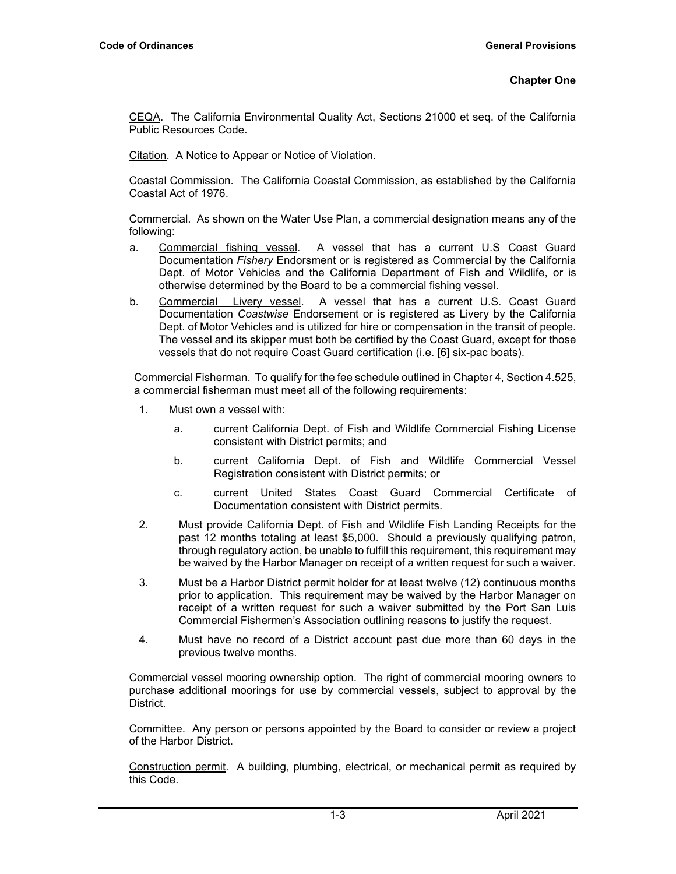CEQA. The California Environmental Quality Act, Sections 21000 et seq. of the California Public Resources Code.

Citation. A Notice to Appear or Notice of Violation.

Coastal Commission. The California Coastal Commission, as established by the California Coastal Act of 1976.

Commercial. As shown on the Water Use Plan, a commercial designation means any of the following:

- a. Commercial fishing vessel. A vessel that has a current U.S Coast Guard Documentation *Fishery* Endorsment or is registered as Commercial by the California Dept. of Motor Vehicles and the California Department of Fish and Wildlife, or is otherwise determined by the Board to be a commercial fishing vessel.
- b. Commercial Livery vessel. A vessel that has a current U.S. Coast Guard Documentation *Coastwise* Endorsement or is registered as Livery by the California Dept. of Motor Vehicles and is utilized for hire or compensation in the transit of people. The vessel and its skipper must both be certified by the Coast Guard, except for those vessels that do not require Coast Guard certification (i.e. [6] six-pac boats).

Commercial Fisherman. To qualify for the fee schedule outlined in Chapter 4, Section 4.525, a commercial fisherman must meet all of the following requirements:

- 1. Must own a vessel with:
	- a. current California Dept. of Fish and Wildlife Commercial Fishing License consistent with District permits; and
	- b. current California Dept. of Fish and Wildlife Commercial Vessel Registration consistent with District permits; or
	- c. current United States Coast Guard Commercial Certificate of Documentation consistent with District permits.
- 2. Must provide California Dept. of Fish and Wildlife Fish Landing Receipts for the past 12 months totaling at least \$5,000. Should a previously qualifying patron, through regulatory action, be unable to fulfill this requirement, this requirement may be waived by the Harbor Manager on receipt of a written request for such a waiver.
- 3. Must be a Harbor District permit holder for at least twelve (12) continuous months prior to application. This requirement may be waived by the Harbor Manager on receipt of a written request for such a waiver submitted by the Port San Luis Commercial Fishermen's Association outlining reasons to justify the request.
- 4. Must have no record of a District account past due more than 60 days in the previous twelve months.

Commercial vessel mooring ownership option. The right of commercial mooring owners to purchase additional moorings for use by commercial vessels, subject to approval by the District.

Committee. Any person or persons appointed by the Board to consider or review a project of the Harbor District.

Construction permit. A building, plumbing, electrical, or mechanical permit as required by this Code.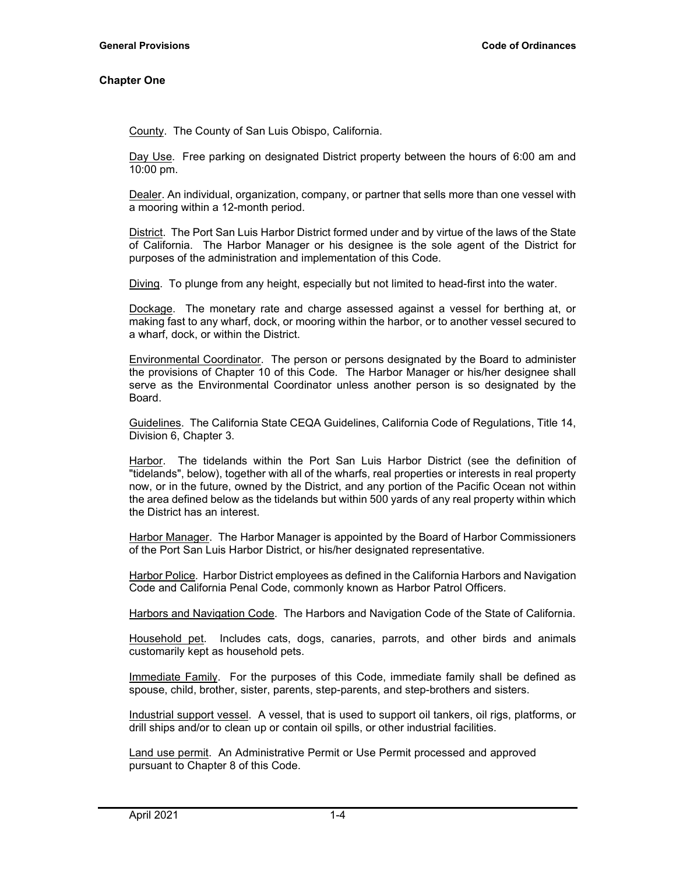County. The County of San Luis Obispo, California.

Day Use. Free parking on designated District property between the hours of 6:00 am and 10:00 pm.

Dealer. An individual, organization, company, or partner that sells more than one vessel with a mooring within a 12-month period.

District. The Port San Luis Harbor District formed under and by virtue of the laws of the State of California. The Harbor Manager or his designee is the sole agent of the District for purposes of the administration and implementation of this Code.

Diving. To plunge from any height, especially but not limited to head-first into the water.

Dockage. The monetary rate and charge assessed against a vessel for berthing at, or making fast to any wharf, dock, or mooring within the harbor, or to another vessel secured to a wharf, dock, or within the District.

Environmental Coordinator. The person or persons designated by the Board to administer the provisions of Chapter 10 of this Code. The Harbor Manager or his/her designee shall serve as the Environmental Coordinator unless another person is so designated by the Board.

Guidelines. The California State CEQA Guidelines, California Code of Regulations, Title 14, Division 6, Chapter 3.

Harbor. The tidelands within the Port San Luis Harbor District (see the definition of "tidelands", below), together with all of the wharfs, real properties or interests in real property now, or in the future, owned by the District, and any portion of the Pacific Ocean not within the area defined below as the tidelands but within 500 yards of any real property within which the District has an interest.

Harbor Manager. The Harbor Manager is appointed by the Board of Harbor Commissioners of the Port San Luis Harbor District, or his/her designated representative.

Harbor Police. Harbor District employees as defined in the California Harbors and Navigation Code and California Penal Code, commonly known as Harbor Patrol Officers.

Harbors and Navigation Code. The Harbors and Navigation Code of the State of California.

Household pet. Includes cats, dogs, canaries, parrots, and other birds and animals customarily kept as household pets.

Immediate Family. For the purposes of this Code, immediate family shall be defined as spouse, child, brother, sister, parents, step-parents, and step-brothers and sisters.

Industrial support vessel. A vessel, that is used to support oil tankers, oil rigs, platforms, or drill ships and/or to clean up or contain oil spills, or other industrial facilities.

Land use permit. An Administrative Permit or Use Permit processed and approved pursuant to Chapter 8 of this Code.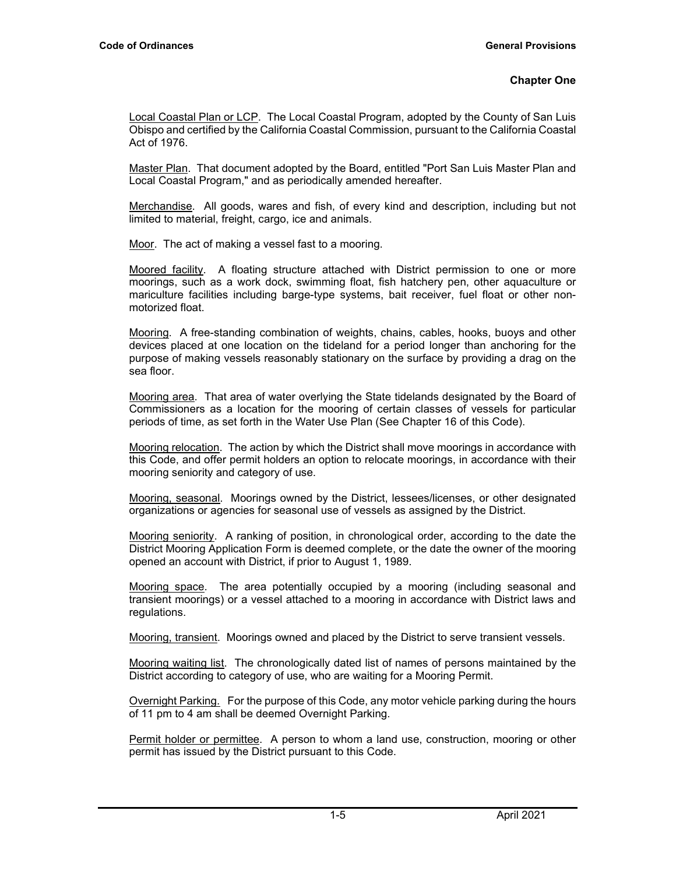Local Coastal Plan or LCP. The Local Coastal Program, adopted by the County of San Luis Obispo and certified by the California Coastal Commission, pursuant to the California Coastal Act of 1976.

Master Plan. That document adopted by the Board, entitled "Port San Luis Master Plan and Local Coastal Program," and as periodically amended hereafter.

Merchandise. All goods, wares and fish, of every kind and description, including but not limited to material, freight, cargo, ice and animals.

Moor. The act of making a vessel fast to a mooring.

Moored facility. A floating structure attached with District permission to one or more moorings, such as a work dock, swimming float, fish hatchery pen, other aquaculture or mariculture facilities including barge-type systems, bait receiver, fuel float or other nonmotorized float.

Mooring. A free-standing combination of weights, chains, cables, hooks, buoys and other devices placed at one location on the tideland for a period longer than anchoring for the purpose of making vessels reasonably stationary on the surface by providing a drag on the sea floor.

Mooring area. That area of water overlying the State tidelands designated by the Board of Commissioners as a location for the mooring of certain classes of vessels for particular periods of time, as set forth in the Water Use Plan (See Chapter 16 of this Code).

Mooring relocation. The action by which the District shall move moorings in accordance with this Code, and offer permit holders an option to relocate moorings, in accordance with their mooring seniority and category of use.

Mooring, seasonal. Moorings owned by the District, lessees/licenses, or other designated organizations or agencies for seasonal use of vessels as assigned by the District.

Mooring seniority. A ranking of position, in chronological order, according to the date the District Mooring Application Form is deemed complete, or the date the owner of the mooring opened an account with District, if prior to August 1, 1989.

Mooring space. The area potentially occupied by a mooring (including seasonal and transient moorings) or a vessel attached to a mooring in accordance with District laws and regulations.

Mooring, transient. Moorings owned and placed by the District to serve transient vessels.

Mooring waiting list. The chronologically dated list of names of persons maintained by the District according to category of use, who are waiting for a Mooring Permit.

Overnight Parking. For the purpose of this Code, any motor vehicle parking during the hours of 11 pm to 4 am shall be deemed Overnight Parking.

Permit holder or permittee. A person to whom a land use, construction, mooring or other permit has issued by the District pursuant to this Code.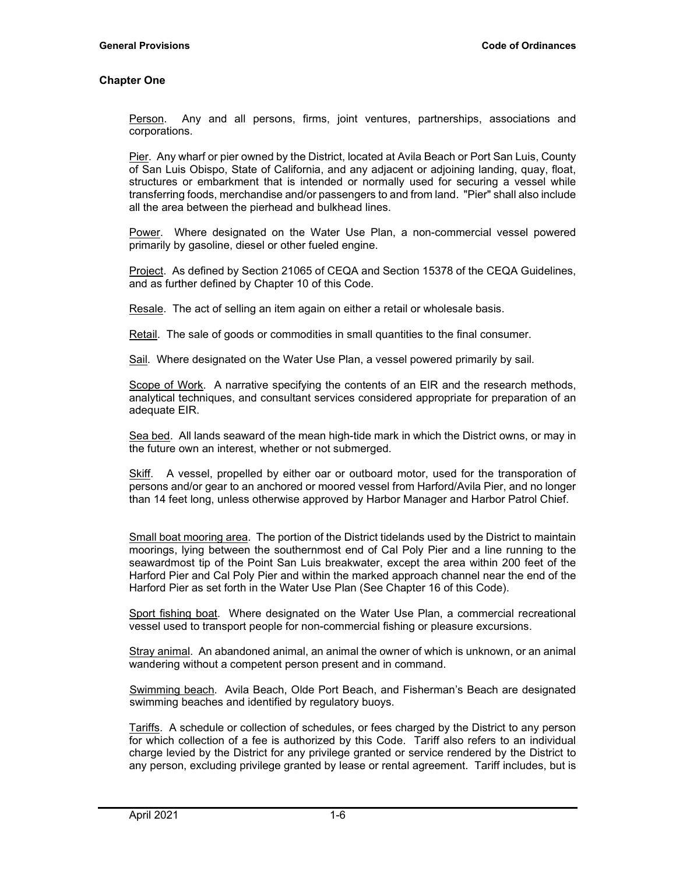Person. Any and all persons, firms, joint ventures, partnerships, associations and corporations.

Pier. Any wharf or pier owned by the District, located at Avila Beach or Port San Luis, County of San Luis Obispo, State of California, and any adjacent or adjoining landing, quay, float, structures or embarkment that is intended or normally used for securing a vessel while transferring foods, merchandise and/or passengers to and from land. "Pier" shall also include all the area between the pierhead and bulkhead lines.

Power. Where designated on the Water Use Plan, a non-commercial vessel powered primarily by gasoline, diesel or other fueled engine.

Project. As defined by Section 21065 of CEQA and Section 15378 of the CEQA Guidelines, and as further defined by Chapter 10 of this Code.

Resale. The act of selling an item again on either a retail or wholesale basis.

Retail. The sale of goods or commodities in small quantities to the final consumer.

Sail. Where designated on the Water Use Plan, a vessel powered primarily by sail.

Scope of Work. A narrative specifying the contents of an EIR and the research methods, analytical techniques, and consultant services considered appropriate for preparation of an adequate EIR.

Sea bed. All lands seaward of the mean high-tide mark in which the District owns, or may in the future own an interest, whether or not submerged.

Skiff. A vessel, propelled by either oar or outboard motor, used for the transporation of persons and/or gear to an anchored or moored vessel from Harford/Avila Pier, and no longer than 14 feet long, unless otherwise approved by Harbor Manager and Harbor Patrol Chief.

Small boat mooring area. The portion of the District tidelands used by the District to maintain moorings, lying between the southernmost end of Cal Poly Pier and a line running to the seawardmost tip of the Point San Luis breakwater, except the area within 200 feet of the Harford Pier and Cal Poly Pier and within the marked approach channel near the end of the Harford Pier as set forth in the Water Use Plan (See Chapter 16 of this Code).

Sport fishing boat. Where designated on the Water Use Plan, a commercial recreational vessel used to transport people for non-commercial fishing or pleasure excursions.

Stray animal. An abandoned animal, an animal the owner of which is unknown, or an animal wandering without a competent person present and in command.

Swimming beach. Avila Beach, Olde Port Beach, and Fisherman's Beach are designated swimming beaches and identified by regulatory buoys.

Tariffs. A schedule or collection of schedules, or fees charged by the District to any person for which collection of a fee is authorized by this Code. Tariff also refers to an individual charge levied by the District for any privilege granted or service rendered by the District to any person, excluding privilege granted by lease or rental agreement. Tariff includes, but is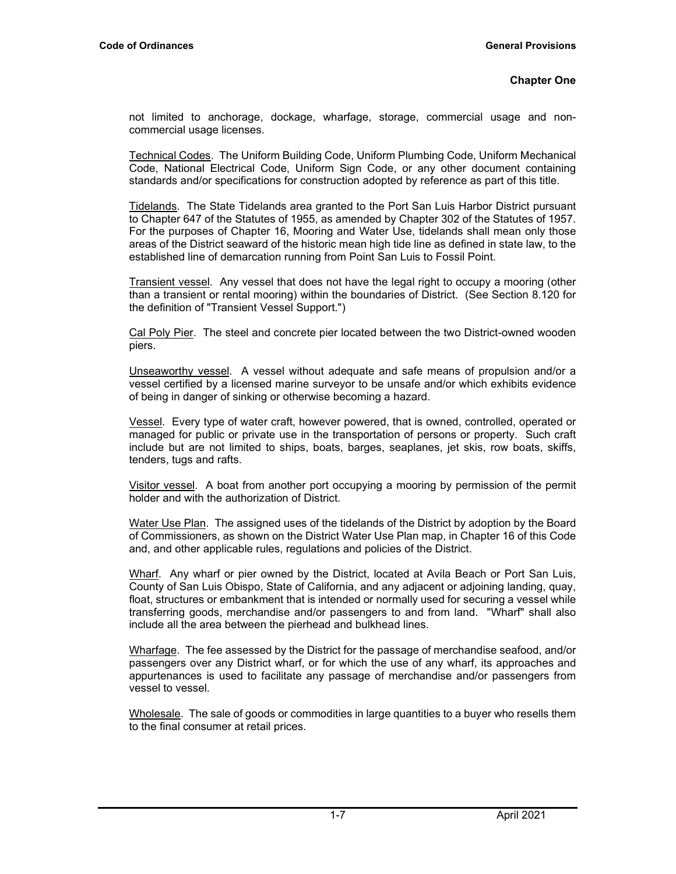not limited to anchorage, dockage, wharfage, storage, commercial usage and noncommercial usage licenses.

Technical Codes. The Uniform Building Code, Uniform Plumbing Code, Uniform Mechanical Code, National Electrical Code, Uniform Sign Code, or any other document containing standards and/or specifications for construction adopted by reference as part of this title.

Tidelands. The State Tidelands area granted to the Port San Luis Harbor District pursuant to Chapter 647 of the Statutes of 1955, as amended by Chapter 302 of the Statutes of 1957. For the purposes of Chapter 16, Mooring and Water Use, tidelands shall mean only those areas of the District seaward of the historic mean high tide line as defined in state law, to the established line of demarcation running from Point San Luis to Fossil Point.

Transient vessel. Any vessel that does not have the legal right to occupy a mooring (other than a transient or rental mooring) within the boundaries of District. (See Section 8.120 for the definition of "Transient Vessel Support.")

Cal Poly Pier. The steel and concrete pier located between the two District-owned wooden piers.

Unseaworthy vessel. A vessel without adequate and safe means of propulsion and/or a vessel certified by a licensed marine surveyor to be unsafe and/or which exhibits evidence of being in danger of sinking or otherwise becoming a hazard.

Vessel. Every type of water craft, however powered, that is owned, controlled, operated or managed for public or private use in the transportation of persons or property. Such craft include but are not limited to ships, boats, barges, seaplanes, jet skis, row boats, skiffs, tenders, tugs and rafts.

Visitor vessel. A boat from another port occupying a mooring by permission of the permit holder and with the authorization of District.

Water Use Plan. The assigned uses of the tidelands of the District by adoption by the Board of Commissioners, as shown on the District Water Use Plan map, in Chapter 16 of this Code and, and other applicable rules, regulations and policies of the District.

Wharf. Any wharf or pier owned by the District, located at Avila Beach or Port San Luis, County of San Luis Obispo, State of California, and any adjacent or adjoining landing, quay, float, structures or embankment that is intended or normally used for securing a vessel while transferring goods, merchandise and/or passengers to and from land. "Wharf" shall also include all the area between the pierhead and bulkhead lines.

Wharfage. The fee assessed by the District for the passage of merchandise seafood, and/or passengers over any District wharf, or for which the use of any wharf, its approaches and appurtenances is used to facilitate any passage of merchandise and/or passengers from vessel to vessel.

Wholesale. The sale of goods or commodities in large quantities to a buyer who resells them to the final consumer at retail prices.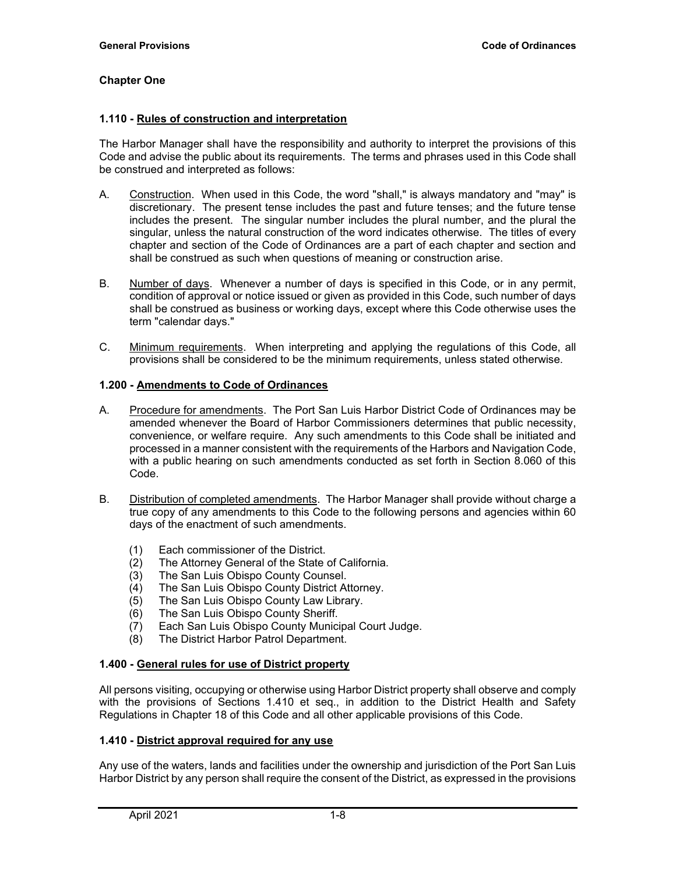#### **1.110 - Rules of construction and interpretation**

The Harbor Manager shall have the responsibility and authority to interpret the provisions of this Code and advise the public about its requirements. The terms and phrases used in this Code shall be construed and interpreted as follows:

- A. Construction. When used in this Code, the word "shall," is always mandatory and "may" is discretionary. The present tense includes the past and future tenses; and the future tense includes the present. The singular number includes the plural number, and the plural the singular, unless the natural construction of the word indicates otherwise. The titles of every chapter and section of the Code of Ordinances are a part of each chapter and section and shall be construed as such when questions of meaning or construction arise.
- B. Number of days. Whenever a number of days is specified in this Code, or in any permit, condition of approval or notice issued or given as provided in this Code, such number of days shall be construed as business or working days, except where this Code otherwise uses the term "calendar days."
- C. Minimum requirements. When interpreting and applying the regulations of this Code, all provisions shall be considered to be the minimum requirements, unless stated otherwise.

#### **1.200 - Amendments to Code of Ordinances**

- A. Procedure for amendments. The Port San Luis Harbor District Code of Ordinances may be amended whenever the Board of Harbor Commissioners determines that public necessity, convenience, or welfare require. Any such amendments to this Code shall be initiated and processed in a manner consistent with the requirements of the Harbors and Navigation Code, with a public hearing on such amendments conducted as set forth in Section 8.060 of this Code.
- B. Distribution of completed amendments. The Harbor Manager shall provide without charge a true copy of any amendments to this Code to the following persons and agencies within 60 days of the enactment of such amendments.
	- (1) Each commissioner of the District.
	- (2) The Attorney General of the State of California.
	- (3) The San Luis Obispo County Counsel.<br>(4) The San Luis Obispo County District At
	- (4) The San Luis Obispo County District Attorney.<br>(5) The San Luis Obispo County Law Library.
	- The San Luis Obispo County Law Library.
	- (6) The San Luis Obispo County Sheriff.
	- (7) Each San Luis Obispo County Municipal Court Judge.
	- (8) The District Harbor Patrol Department.

## **1.400 - General rules for use of District property**

All persons visiting, occupying or otherwise using Harbor District property shall observe and comply with the provisions of Sections 1.410 et seq., in addition to the District Health and Safety Regulations in Chapter 18 of this Code and all other applicable provisions of this Code.

## **1.410 - District approval required for any use**

Any use of the waters, lands and facilities under the ownership and jurisdiction of the Port San Luis Harbor District by any person shall require the consent of the District, as expressed in the provisions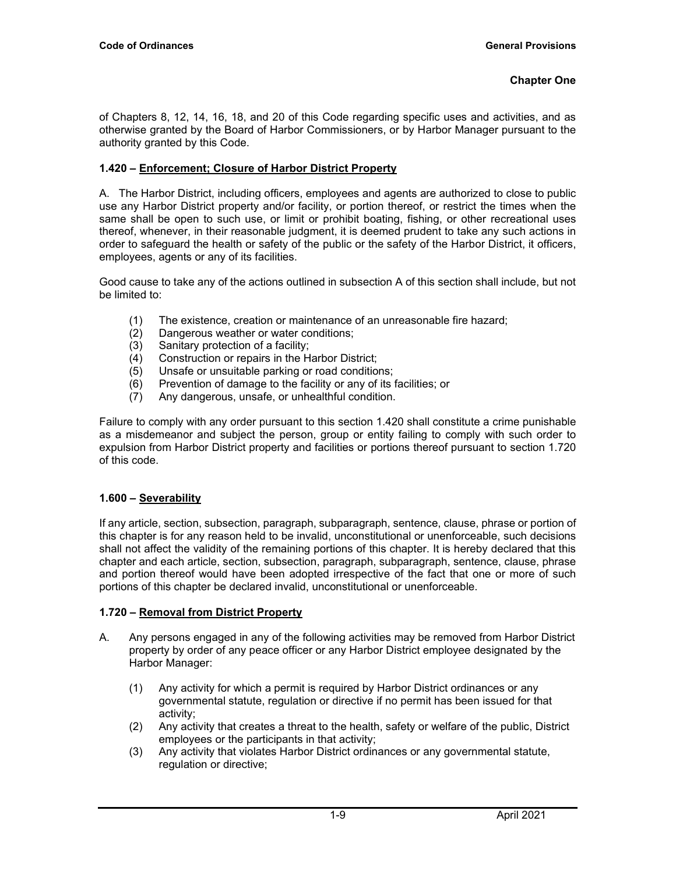of Chapters 8, 12, 14, 16, 18, and 20 of this Code regarding specific uses and activities, and as otherwise granted by the Board of Harbor Commissioners, or by Harbor Manager pursuant to the authority granted by this Code.

# **1.420 – Enforcement; Closure of Harbor District Property**

A. The Harbor District, including officers, employees and agents are authorized to close to public use any Harbor District property and/or facility, or portion thereof, or restrict the times when the same shall be open to such use, or limit or prohibit boating, fishing, or other recreational uses thereof, whenever, in their reasonable judgment, it is deemed prudent to take any such actions in order to safeguard the health or safety of the public or the safety of the Harbor District, it officers, employees, agents or any of its facilities.

Good cause to take any of the actions outlined in subsection A of this section shall include, but not be limited to:

- (1) The existence, creation or maintenance of an unreasonable fire hazard;
- (2) Dangerous weather or water conditions;<br>(3) Sanitary protection of a facility;
- Sanitary protection of a facility;
- (4) Construction or repairs in the Harbor District;
- (5) Unsafe or unsuitable parking or road conditions;
- $(6)$  Prevention of damage to the facility or any of its facilities; or
- (7) Any dangerous, unsafe, or unhealthful condition.

Failure to comply with any order pursuant to this section 1.420 shall constitute a crime punishable as a misdemeanor and subject the person, group or entity failing to comply with such order to expulsion from Harbor District property and facilities or portions thereof pursuant to section 1.720 of this code.

# **1.600 – Severability**

If any article, section, subsection, paragraph, subparagraph, sentence, clause, phrase or portion of this chapter is for any reason held to be invalid, unconstitutional or unenforceable, such decisions shall not affect the validity of the remaining portions of this chapter. It is hereby declared that this chapter and each article, section, subsection, paragraph, subparagraph, sentence, clause, phrase and portion thereof would have been adopted irrespective of the fact that one or more of such portions of this chapter be declared invalid, unconstitutional or unenforceable.

## **1.720 – Removal from District Property**

- A. Any persons engaged in any of the following activities may be removed from Harbor District property by order of any peace officer or any Harbor District employee designated by the Harbor Manager:
	- (1) Any activity for which a permit is required by Harbor District ordinances or any governmental statute, regulation or directive if no permit has been issued for that activity;
	- (2) Any activity that creates a threat to the health, safety or welfare of the public, District employees or the participants in that activity;
	- (3) Any activity that violates Harbor District ordinances or any governmental statute, regulation or directive;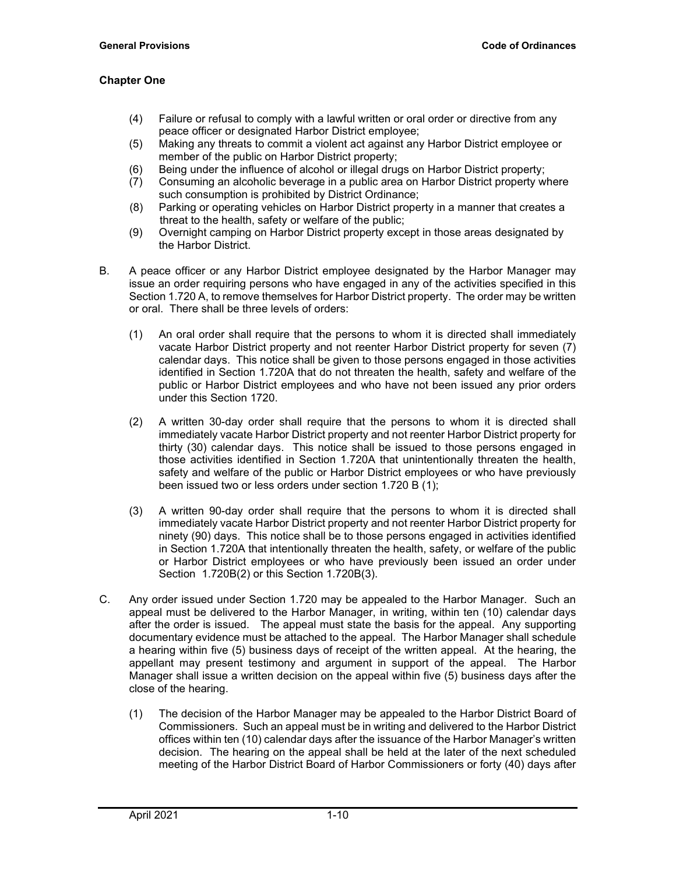- (4) Failure or refusal to comply with a lawful written or oral order or directive from any peace officer or designated Harbor District employee;
- (5) Making any threats to commit a violent act against any Harbor District employee or member of the public on Harbor District property;
- (6) Being under the influence of alcohol or illegal drugs on Harbor District property;
- (7) Consuming an alcoholic beverage in a public area on Harbor District property where such consumption is prohibited by District Ordinance;
- (8) Parking or operating vehicles on Harbor District property in a manner that creates a threat to the health, safety or welfare of the public;
- (9) Overnight camping on Harbor District property except in those areas designated by the Harbor District.
- B. A peace officer or any Harbor District employee designated by the Harbor Manager may issue an order requiring persons who have engaged in any of the activities specified in this Section 1.720 A, to remove themselves for Harbor District property. The order may be written or oral. There shall be three levels of orders:
	- (1) An oral order shall require that the persons to whom it is directed shall immediately vacate Harbor District property and not reenter Harbor District property for seven (7) calendar days. This notice shall be given to those persons engaged in those activities identified in Section 1.720A that do not threaten the health, safety and welfare of the public or Harbor District employees and who have not been issued any prior orders under this Section 1720.
	- (2) A written 30-day order shall require that the persons to whom it is directed shall immediately vacate Harbor District property and not reenter Harbor District property for thirty (30) calendar days. This notice shall be issued to those persons engaged in those activities identified in Section 1.720A that unintentionally threaten the health, safety and welfare of the public or Harbor District employees or who have previously been issued two or less orders under section 1.720 B (1);
	- (3) A written 90-day order shall require that the persons to whom it is directed shall immediately vacate Harbor District property and not reenter Harbor District property for ninety (90) days. This notice shall be to those persons engaged in activities identified in Section 1.720A that intentionally threaten the health, safety, or welfare of the public or Harbor District employees or who have previously been issued an order under Section 1.720B(2) or this Section 1.720B(3).
- C. Any order issued under Section 1.720 may be appealed to the Harbor Manager. Such an appeal must be delivered to the Harbor Manager, in writing, within ten (10) calendar days after the order is issued. The appeal must state the basis for the appeal. Any supporting documentary evidence must be attached to the appeal. The Harbor Manager shall schedule a hearing within five (5) business days of receipt of the written appeal. At the hearing, the appellant may present testimony and argument in support of the appeal. The Harbor Manager shall issue a written decision on the appeal within five (5) business days after the close of the hearing.
	- (1) The decision of the Harbor Manager may be appealed to the Harbor District Board of Commissioners. Such an appeal must be in writing and delivered to the Harbor District offices within ten (10) calendar days after the issuance of the Harbor Manager's written decision. The hearing on the appeal shall be held at the later of the next scheduled meeting of the Harbor District Board of Harbor Commissioners or forty (40) days after